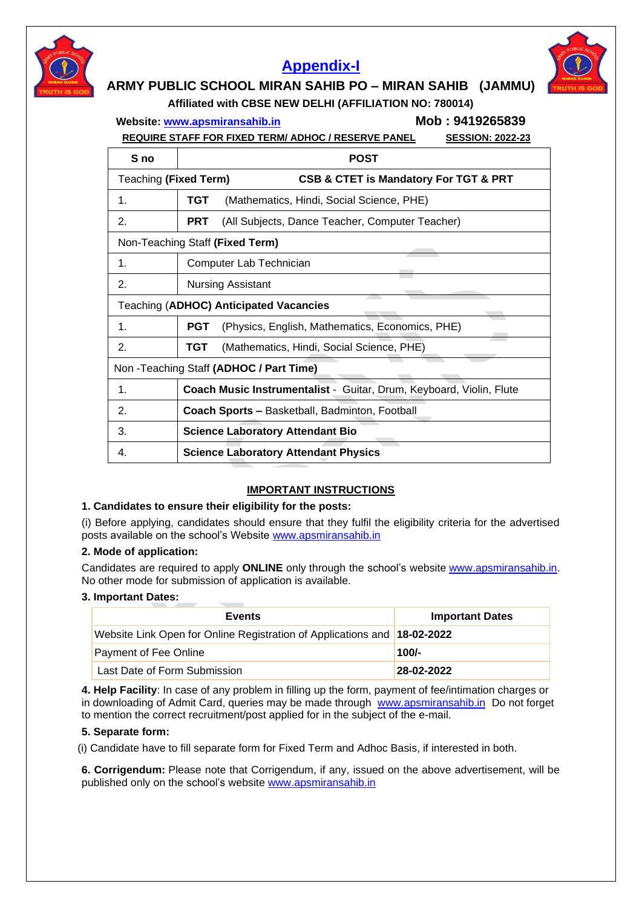

# **[Appendix-I](https://rbidocs.rbi.org.in/rdocs/content/pdfs/NONCSG15012022_APP1.pdf)**



# **ARMY PUBLIC SCHOOL MIRAN SAHIB PO – MIRAN SAHIB (JAMMU)**

**Affiliated with CBSE NEW DELHI (AFFILIATION NO: 780014)**

**Website: [www.apsmiransahib.in](http://www.apsmiransahib.in/) Mob : 9419265839**

 **REQUIRE STAFF FOR FIXED TERM/ ADHOC / RESERVE PANEL SESSION: 2022-23**

| S no                                          | <b>POST</b>                                                         |  |
|-----------------------------------------------|---------------------------------------------------------------------|--|
| Teaching (Fixed Term)                         | CSB & CTET is Mandatory For TGT & PRT                               |  |
| 1.                                            | TGT<br>(Mathematics, Hindi, Social Science, PHE)                    |  |
| 2.                                            | <b>PRT</b><br>(All Subjects, Dance Teacher, Computer Teacher)       |  |
| Non-Teaching Staff (Fixed Term)               |                                                                     |  |
| 1.                                            | Computer Lab Technician                                             |  |
| 2.                                            | <b>Nursing Assistant</b>                                            |  |
| <b>Teaching (ADHOC) Anticipated Vacancies</b> |                                                                     |  |
| 1.                                            | (Physics, English, Mathematics, Economics, PHE)<br><b>PGT</b>       |  |
| 2.                                            | TGT<br>(Mathematics, Hindi, Social Science, PHE)                    |  |
| Non - Teaching Staff (ADHOC / Part Time)      |                                                                     |  |
| 1.                                            | Coach Music Instrumentalist - Guitar, Drum, Keyboard, Violin, Flute |  |
| 2.                                            | <b>Coach Sports - Basketball, Badminton, Football</b>               |  |
| 3.                                            | <b>Science Laboratory Attendant Bio</b>                             |  |
| 4.                                            | <b>Science Laboratory Attendant Physics</b>                         |  |

## **IMPORTANT INSTRUCTIONS**

## **1. Candidates to ensure their eligibility for the posts:**

(i) Before applying, candidates should ensure that they fulfil the eligibility criteria for the advertised posts available on the school's Website [www.apsmiransahib.in](http://www.apsmiransahib.in/)

#### **2. Mode of application:**

Candidates are required to apply **ONLINE** only through the school's website [www.apsmiransahib.in.](http://www.apsmiransahib.in/) No other mode for submission of application is available.

#### **3. Important Dates:**

| <b>Events</b>                                                            | <b>Important Dates</b> |
|--------------------------------------------------------------------------|------------------------|
| Website Link Open for Online Registration of Applications and 18-02-2022 |                        |
| <b>Payment of Fee Online</b>                                             | $100/-$                |
| Last Date of Form Submission                                             | 28-02-2022             |

**4. Help Facility**: In case of any problem in filling up the form, payment of fee/intimation charges or in downloading of Admit Card, queries may be made through [www.apsmiransahib.in](http://www.apsmiransahib.in/) Do not forget to mention the correct recruitment/post applied for in the subject of the e-mail.

#### **5. Separate form:**

(i) Candidate have to fill separate form for Fixed Term and Adhoc Basis, if interested in both.

**6. Corrigendum:** Please note that Corrigendum, if any, issued on the above advertisement, will be published only on the school's website [www.apsmiransahib.in](http://www.apsmiransahib.in/)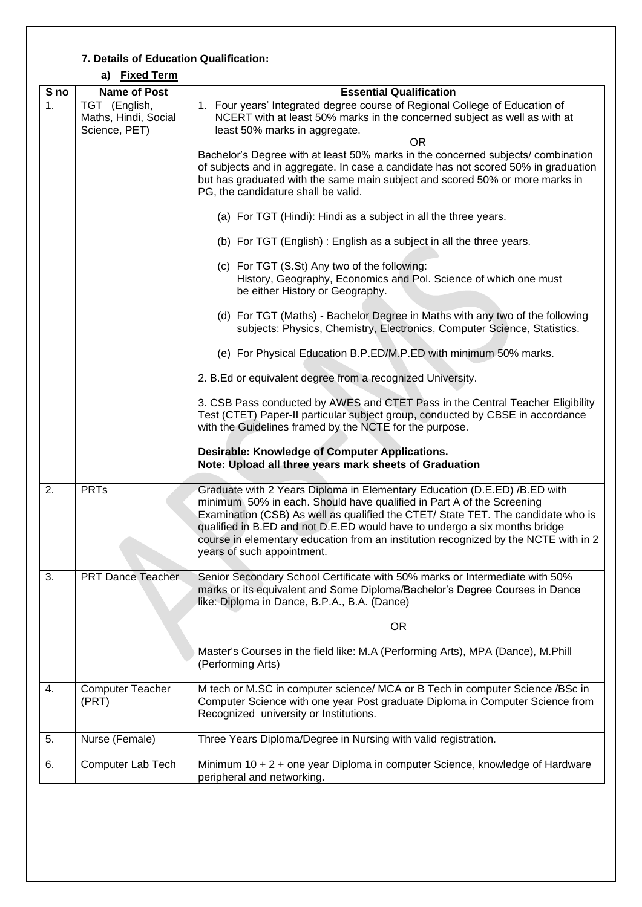## **7. Details of Education Qualification:**

|      | a) <u>Livea Lenn</u>                                   |                                                                                                                                                                                                                                                                                                                                                                                                                                           |  |
|------|--------------------------------------------------------|-------------------------------------------------------------------------------------------------------------------------------------------------------------------------------------------------------------------------------------------------------------------------------------------------------------------------------------------------------------------------------------------------------------------------------------------|--|
| S no | <b>Name of Post</b>                                    | <b>Essential Qualification</b>                                                                                                                                                                                                                                                                                                                                                                                                            |  |
| 1.   | TGT (English,<br>Maths, Hindi, Social<br>Science, PET) | 1. Four years' Integrated degree course of Regional College of Education of<br>NCERT with at least 50% marks in the concerned subject as well as with at<br>least 50% marks in aggregate.<br><b>OR</b>                                                                                                                                                                                                                                    |  |
|      |                                                        | Bachelor's Degree with at least 50% marks in the concerned subjects/ combination<br>of subjects and in aggregate. In case a candidate has not scored 50% in graduation<br>but has graduated with the same main subject and scored 50% or more marks in<br>PG, the candidature shall be valid.                                                                                                                                             |  |
|      |                                                        | (a) For TGT (Hindi): Hindi as a subject in all the three years.                                                                                                                                                                                                                                                                                                                                                                           |  |
|      |                                                        | (b) For TGT (English): English as a subject in all the three years.                                                                                                                                                                                                                                                                                                                                                                       |  |
|      |                                                        | (c) For TGT (S.St) Any two of the following:<br>History, Geography, Economics and Pol. Science of which one must<br>be either History or Geography.                                                                                                                                                                                                                                                                                       |  |
|      |                                                        | (d) For TGT (Maths) - Bachelor Degree in Maths with any two of the following<br>subjects: Physics, Chemistry, Electronics, Computer Science, Statistics.                                                                                                                                                                                                                                                                                  |  |
|      |                                                        | (e) For Physical Education B.P.ED/M.P.ED with minimum 50% marks.                                                                                                                                                                                                                                                                                                                                                                          |  |
|      |                                                        | 2. B.Ed or equivalent degree from a recognized University.                                                                                                                                                                                                                                                                                                                                                                                |  |
|      |                                                        | 3. CSB Pass conducted by AWES and CTET Pass in the Central Teacher Eligibility<br>Test (CTET) Paper-II particular subject group, conducted by CBSE in accordance<br>with the Guidelines framed by the NCTE for the purpose.                                                                                                                                                                                                               |  |
|      |                                                        | Desirable: Knowledge of Computer Applications.<br>Note: Upload all three years mark sheets of Graduation                                                                                                                                                                                                                                                                                                                                  |  |
| 2.   | <b>PRTs</b>                                            | Graduate with 2 Years Diploma in Elementary Education (D.E.ED) /B.ED with<br>minimum 50% in each. Should have qualified in Part A of the Screening<br>Examination (CSB) As well as qualified the CTET/ State TET. The candidate who is<br>qualified in B.ED and not D.E.ED would have to undergo a six months bridge<br>course in elementary education from an institution recognized by the NCTE with in 2<br>years of such appointment. |  |
| 3.   | <b>PRT Dance Teacher</b>                               | Senior Secondary School Certificate with 50% marks or Intermediate with 50%<br>marks or its equivalent and Some Diploma/Bachelor's Degree Courses in Dance<br>like: Diploma in Dance, B.P.A., B.A. (Dance)                                                                                                                                                                                                                                |  |
|      |                                                        | <b>OR</b>                                                                                                                                                                                                                                                                                                                                                                                                                                 |  |
|      |                                                        | Master's Courses in the field like: M.A (Performing Arts), MPA (Dance), M.Phill<br>(Performing Arts)                                                                                                                                                                                                                                                                                                                                      |  |
| 4.   | <b>Computer Teacher</b><br>(PRT)                       | M tech or M.SC in computer science/ MCA or B Tech in computer Science /BSc in<br>Computer Science with one year Post graduate Diploma in Computer Science from<br>Recognized university or Institutions.                                                                                                                                                                                                                                  |  |
| 5.   | Nurse (Female)                                         | Three Years Diploma/Degree in Nursing with valid registration.                                                                                                                                                                                                                                                                                                                                                                            |  |
| 6.   | Computer Lab Tech                                      | Minimum 10 + 2 + one year Diploma in computer Science, knowledge of Hardware<br>peripheral and networking.                                                                                                                                                                                                                                                                                                                                |  |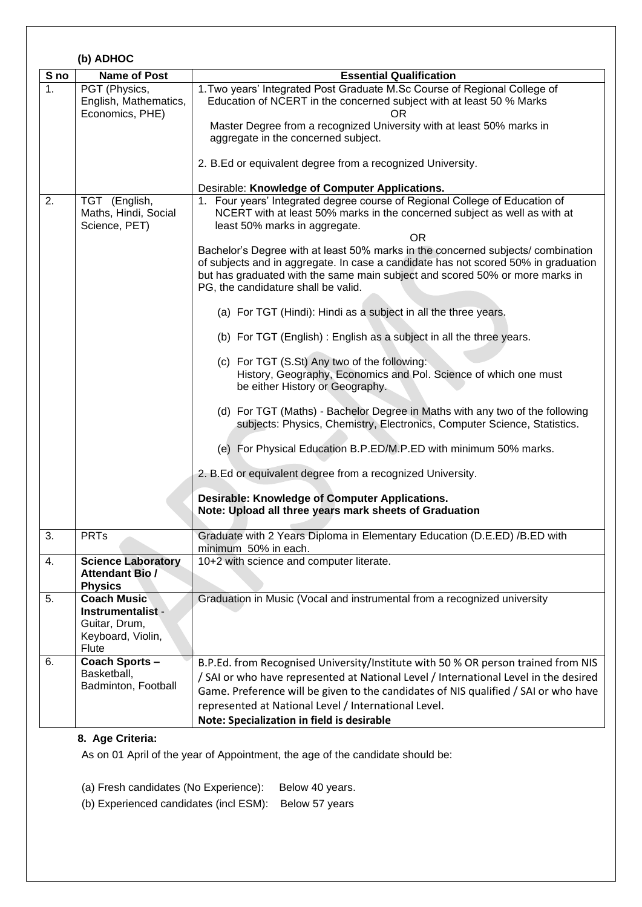|      | (b) ADHOC                                                                                     |                                                                                                                                                                                                                                                                                                                                                                                                                                                                                                                                                                                                                                                                                                                                                                                                                                                                                                                                                                                                                                                                                                                                                                                                                                                               |  |  |
|------|-----------------------------------------------------------------------------------------------|---------------------------------------------------------------------------------------------------------------------------------------------------------------------------------------------------------------------------------------------------------------------------------------------------------------------------------------------------------------------------------------------------------------------------------------------------------------------------------------------------------------------------------------------------------------------------------------------------------------------------------------------------------------------------------------------------------------------------------------------------------------------------------------------------------------------------------------------------------------------------------------------------------------------------------------------------------------------------------------------------------------------------------------------------------------------------------------------------------------------------------------------------------------------------------------------------------------------------------------------------------------|--|--|
| S no | <b>Name of Post</b>                                                                           | <b>Essential Qualification</b>                                                                                                                                                                                                                                                                                                                                                                                                                                                                                                                                                                                                                                                                                                                                                                                                                                                                                                                                                                                                                                                                                                                                                                                                                                |  |  |
| 1.   | PGT (Physics,<br>English, Mathematics,<br>Economics, PHE)                                     | 1. Two years' Integrated Post Graduate M.Sc Course of Regional College of<br>Education of NCERT in the concerned subject with at least 50 % Marks<br>OR.<br>Master Degree from a recognized University with at least 50% marks in<br>aggregate in the concerned subject.<br>2. B.Ed or equivalent degree from a recognized University.                                                                                                                                                                                                                                                                                                                                                                                                                                                                                                                                                                                                                                                                                                                                                                                                                                                                                                                        |  |  |
| 2.   | TGT (English,<br>Maths, Hindi, Social<br>Science, PET)                                        | Desirable: Knowledge of Computer Applications.<br>1. Four years' Integrated degree course of Regional College of Education of<br>NCERT with at least 50% marks in the concerned subject as well as with at<br>least 50% marks in aggregate.<br>0R<br>Bachelor's Degree with at least 50% marks in the concerned subjects/ combination<br>of subjects and in aggregate. In case a candidate has not scored 50% in graduation<br>but has graduated with the same main subject and scored 50% or more marks in<br>PG, the candidature shall be valid.<br>(a) For TGT (Hindi): Hindi as a subject in all the three years.<br>(b) For TGT (English): English as a subject in all the three years.<br>(c) For TGT (S.St) Any two of the following:<br>History, Geography, Economics and Pol. Science of which one must<br>be either History or Geography.<br>(d) For TGT (Maths) - Bachelor Degree in Maths with any two of the following<br>subjects: Physics, Chemistry, Electronics, Computer Science, Statistics.<br>(e) For Physical Education B.P.ED/M.P.ED with minimum 50% marks.<br>2. B.Ed or equivalent degree from a recognized University.<br>Desirable: Knowledge of Computer Applications.<br>Note: Upload all three years mark sheets of Graduation |  |  |
| З.   | <b>PRIS</b>                                                                                   | Graduate with 2 Years Diploma in Elementary Education (D.E.ED) /B.ED with<br>minimum 50% in each.                                                                                                                                                                                                                                                                                                                                                                                                                                                                                                                                                                                                                                                                                                                                                                                                                                                                                                                                                                                                                                                                                                                                                             |  |  |
| 4.   | <b>Science Laboratory</b><br><b>Attendant Bio /</b><br><b>Physics</b>                         | 10+2 with science and computer literate.                                                                                                                                                                                                                                                                                                                                                                                                                                                                                                                                                                                                                                                                                                                                                                                                                                                                                                                                                                                                                                                                                                                                                                                                                      |  |  |
| 5.   | <b>Coach Music</b><br>Instrumentalist -<br>Guitar, Drum,<br>Keyboard, Violin,<br><b>Flute</b> | Graduation in Music (Vocal and instrumental from a recognized university                                                                                                                                                                                                                                                                                                                                                                                                                                                                                                                                                                                                                                                                                                                                                                                                                                                                                                                                                                                                                                                                                                                                                                                      |  |  |
| 6.   | <b>Coach Sports-</b><br>Basketball,<br>Badminton, Football                                    | B.P.Ed. from Recognised University/Institute with 50 % OR person trained from NIS<br>/ SAI or who have represented at National Level / International Level in the desired<br>Game. Preference will be given to the candidates of NIS qualified / SAI or who have<br>represented at National Level / International Level.<br>Note: Specialization in field is desirable                                                                                                                                                                                                                                                                                                                                                                                                                                                                                                                                                                                                                                                                                                                                                                                                                                                                                        |  |  |

# **8. Age Criteria:**

As on 01 April of the year of Appointment, the age of the candidate should be:

(a) Fresh candidates (No Experience): Below 40 years.

(b) Experienced candidates (incl ESM): Below 57 years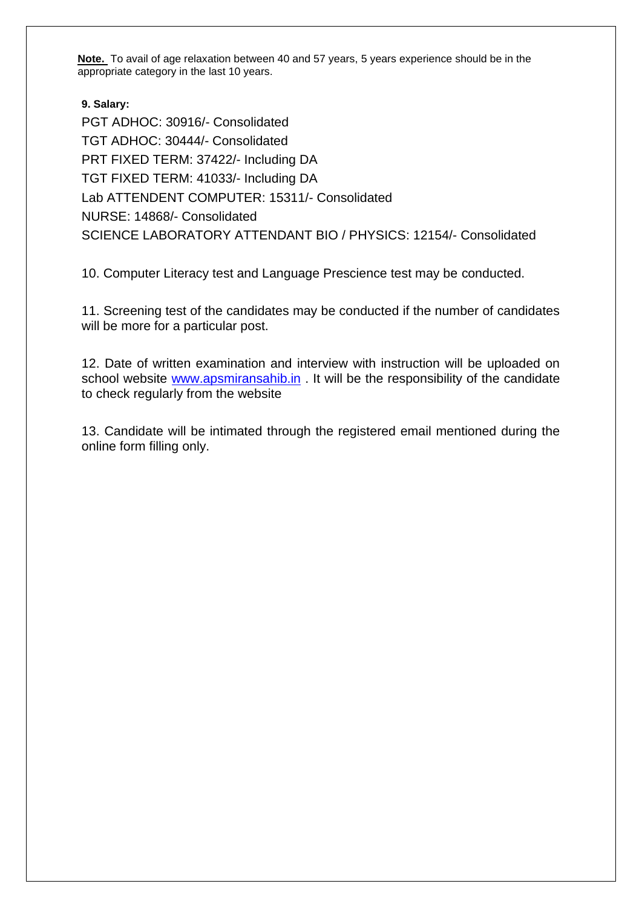**Note.** To avail of age relaxation between 40 and 57 years, 5 years experience should be in the appropriate category in the last 10 years.

**9. Salary:**  PGT ADHOC: 30916/- Consolidated TGT ADHOC: 30444/- Consolidated PRT FIXED TERM: 37422/- Including DA TGT FIXED TERM: 41033/- Including DA Lab ATTENDENT COMPUTER: 15311/- Consolidated NURSE: 14868/- Consolidated SCIENCE LABORATORY ATTENDANT BIO / PHYSICS: 12154/- Consolidated

10. Computer Literacy test and Language Prescience test may be conducted.

11. Screening test of the candidates may be conducted if the number of candidates will be more for a particular post.

12. Date of written examination and interview with instruction will be uploaded on school website [www.apsmiransahib.in](http://www.apsmiransahib.in/) . It will be the responsibility of the candidate to check regularly from the website

13. Candidate will be intimated through the registered email mentioned during the online form filling only.